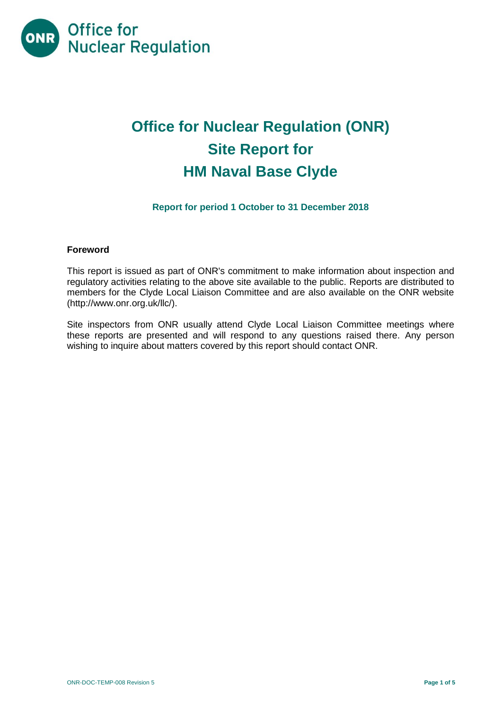

# **Office for Nuclear Regulation (ONR) Site Report for HM Naval Base Clyde**

# **Report for period 1 October to 31 December 2018**

#### **Foreword**

This report is issued as part of ONR's commitment to make information about inspection and regulatory activities relating to the above site available to the public. Reports are distributed to members for the Clyde Local Liaison Committee and are also available on the ONR website [\(http://www.onr.org.uk/llc/\)](http://www.onr.org.uk/llc/).

Site inspectors from ONR usually attend Clyde Local Liaison Committee meetings where these reports are presented and will respond to any questions raised there. Any person wishing to inquire about matters covered by this report should contact ONR.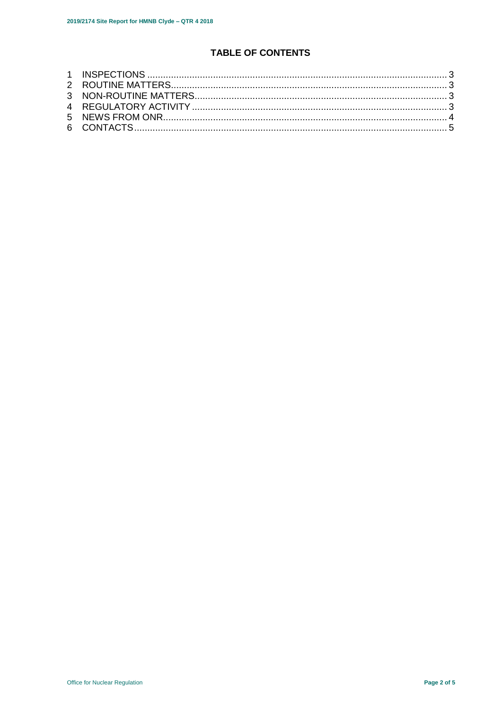# **TABLE OF CONTENTS**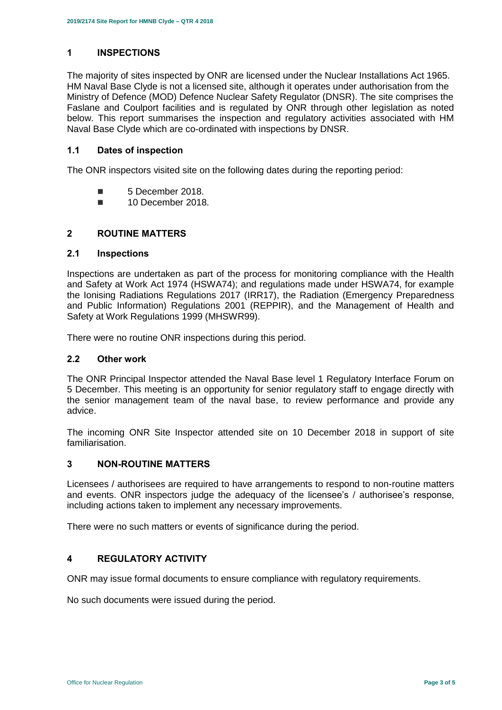## <span id="page-2-0"></span>**1 INSPECTIONS**

The majority of sites inspected by ONR are licensed under the Nuclear Installations Act 1965. HM Naval Base Clyde is not a licensed site, although it operates under authorisation from the Ministry of Defence (MOD) Defence Nuclear Safety Regulator (DNSR). The site comprises the Faslane and Coulport facilities and is regulated by ONR through other legislation as noted below. This report summarises the inspection and regulatory activities associated with HM Naval Base Clyde which are co-ordinated with inspections by DNSR.

#### **1.1 Dates of inspection**

The ONR inspectors visited site on the following dates during the reporting period:

- 5 December 2018.
- **10 December 2018**

#### <span id="page-2-1"></span>**2 ROUTINE MATTERS**

#### **2.1 Inspections**

Inspections are undertaken as part of the process for monitoring compliance with the Health and Safety at Work Act 1974 (HSWA74); and regulations made under HSWA74, for example the Ionising Radiations Regulations 2017 (IRR17), the Radiation (Emergency Preparedness and Public Information) Regulations 2001 (REPPIR), and the Management of Health and Safety at Work Regulations 1999 (MHSWR99).

There were no routine ONR inspections during this period.

#### **2.2 Other work**

The ONR Principal Inspector attended the Naval Base level 1 Regulatory Interface Forum on 5 December. This meeting is an opportunity for senior regulatory staff to engage directly with the senior management team of the naval base, to review performance and provide any advice.

The incoming ONR Site Inspector attended site on 10 December 2018 in support of site familiarisation.

#### <span id="page-2-2"></span>**3 NON-ROUTINE MATTERS**

Licensees / authorisees are required to have arrangements to respond to non-routine matters and events. ONR inspectors judge the adequacy of the licensee's / authorisee's response, including actions taken to implement any necessary improvements.

There were no such matters or events of significance during the period.

## <span id="page-2-3"></span>**4 REGULATORY ACTIVITY**

ONR may issue formal documents to ensure compliance with regulatory requirements.

<span id="page-2-4"></span>No such documents were issued during the period.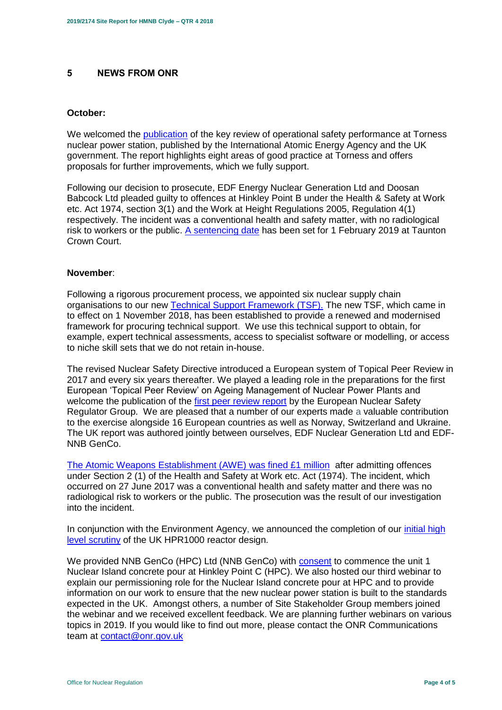#### **5 NEWS FROM ONR**

#### **October:**

We welcomed the [publication](http://news.onr.org.uk/2018/10/iaea-review-torness-power-station/) of the key review of operational safety performance at Torness nuclear power station, published by the International Atomic Energy Agency and the UK government. The report highlights eight areas of good practice at Torness and offers proposals for further improvements, which we fully support.

Following our decision to prosecute, EDF Energy Nuclear Generation Ltd and Doosan Babcock Ltd pleaded guilty to offences at Hinkley Point B under the Health & Safety at Work etc. Act 1974, section 3(1) and the Work at Height Regulations 2005, Regulation 4(1) respectively. The incident was a conventional health and safety matter, with no radiological risk to workers or the public. [A sentencing date](http://news.onr.org.uk/2018/10/edf-and-doosan-babcock-plead-guilty/) has been set for 1 February 2019 at Taunton Crown Court.

#### **November**:

Following a rigorous procurement process, we appointed six nuclear supply chain organisations to our new [Technical Support Framework \(TSF\).](http://news.onr.org.uk/2018/11/new-technical-support-framework-announced/) The new TSF, which came in to effect on 1 November 2018, has been established to provide a renewed and modernised framework for procuring technical support. We use this technical support to obtain, for example, expert technical assessments, access to specialist software or modelling, or access to niche skill sets that we do not retain in-house.

The revised Nuclear Safety Directive introduced a European system of Topical Peer Review in 2017 and every six years thereafter. We played a leading role in the preparations for the first European 'Topical Peer Review' on Ageing Management of Nuclear Power Plants and welcome the publication of the [first peer review report](http://news.onr.org.uk/2018/11/onr-welcomes-first-topical-peer-review/) by the European Nuclear Safety Regulator Group. We are pleased that a number of our experts made a valuable contribution to the exercise alongside 16 European countries as well as Norway, Switzerland and Ukraine. The UK report was authored jointly between ourselves, EDF Nuclear Generation Ltd and EDF-NNB GenCo.

[The Atomic Weapons Establishment \(AWE\) was fined £1 million](http://news.onr.org.uk/2018/11/awe-prosecution-reaction/) after admitting offences under Section 2 (1) of the Health and Safety at Work etc. Act (1974). The incident, which occurred on 27 June 2017 was a conventional health and safety matter and there was no radiological risk to workers or the public. The prosecution was the result of our investigation into the incident.

In conjunction with the Environment Agency, we announced the completion of our initial high [level scrutiny](http://news.onr.org.uk/2018/11/uk-hpr1000-completes-gda-step-2/) of the UK HPR1000 reactor design.

We provided NNB GenCo (HPC) Ltd (NNB GenCo) with [consent](http://news.onr.org.uk/2018/11/consent-for-hinkley-point-c-nuclear-island-concrete-pour/) to commence the unit 1 Nuclear Island concrete pour at Hinkley Point C (HPC). We also hosted our third webinar to explain our permissioning role for the Nuclear Island concrete pour at HPC and to provide information on our work to ensure that the new nuclear power station is built to the standards expected in the UK. Amongst others, a number of Site Stakeholder Group members joined the webinar and we received excellent feedback. We are planning further webinars on various topics in 2019. If you would like to find out more, please contact the ONR Communications team at [contact@onr.gov.uk](mailto:contact@onr.gov.uk)